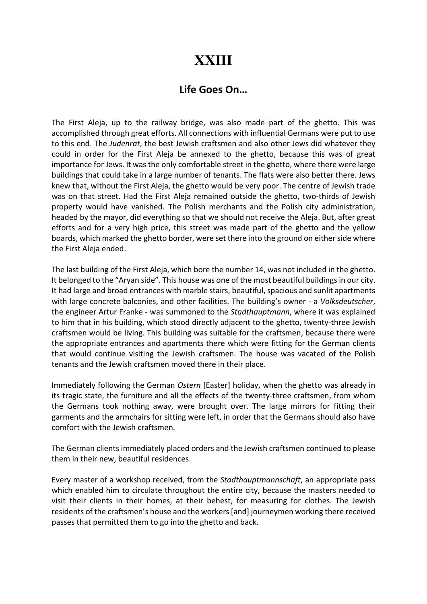## **XXIII**

## Life Goes On…

The First Aleja, up to the railway bridge, was also made part of the ghetto. This was accomplished through great efforts. All connections with influential Germans were put to use to this end. The Judenrat, the best Jewish craftsmen and also other Jews did whatever they could in order for the First Aleja be annexed to the ghetto, because this was of great importance for Jews. It was the only comfortable street in the ghetto, where there were large buildings that could take in a large number of tenants. The flats were also better there. Jews knew that, without the First Aleja, the ghetto would be very poor. The centre of Jewish trade was on that street. Had the First Aleja remained outside the ghetto, two-thirds of Jewish property would have vanished. The Polish merchants and the Polish city administration, headed by the mayor, did everything so that we should not receive the Aleja. But, after great efforts and for a very high price, this street was made part of the ghetto and the yellow boards, which marked the ghetto border, were set there into the ground on either side where the First Aleja ended.

The last building of the First Aleja, which bore the number 14, was not included in the ghetto. It belonged to the "Aryan side". This house was one of the most beautiful buildings in our city. It had large and broad entrances with marble stairs, beautiful, spacious and sunlit apartments with large concrete balconies, and other facilities. The building's owner - a *Volksdeutscher*, the engineer Artur Franke - was summoned to the Stadthauptmann, where it was explained to him that in his building, which stood directly adjacent to the ghetto, twenty-three Jewish craftsmen would be living. This building was suitable for the craftsmen, because there were the appropriate entrances and apartments there which were fitting for the German clients that would continue visiting the Jewish craftsmen. The house was vacated of the Polish tenants and the Jewish craftsmen moved there in their place.

Immediately following the German Ostern [Easter] holiday, when the ghetto was already in its tragic state, the furniture and all the effects of the twenty-three craftsmen, from whom the Germans took nothing away, were brought over. The large mirrors for fitting their garments and the armchairs for sitting were left, in order that the Germans should also have comfort with the Jewish craftsmen.

The German clients immediately placed orders and the Jewish craftsmen continued to please them in their new, beautiful residences.

Every master of a workshop received, from the Stadthauptmannschaft, an appropriate pass which enabled him to circulate throughout the entire city, because the masters needed to visit their clients in their homes, at their behest, for measuring for clothes. The Jewish residents of the craftsmen's house and the workers [and] journeymen working there received passes that permitted them to go into the ghetto and back.